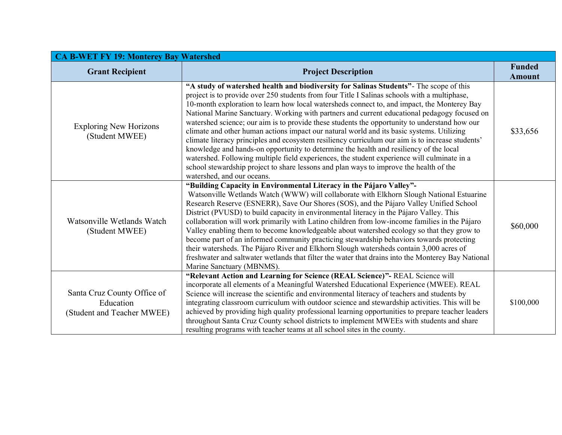| <b>CA B-WET FY 19: Monterey Bay Watershed</b>                          |                                                                                                                                                                                                                                                                                                                                                                                                                                                                                                                                                                                                                                                                                                                                                                                                                                                                                                                                                                                                          |                                |  |
|------------------------------------------------------------------------|----------------------------------------------------------------------------------------------------------------------------------------------------------------------------------------------------------------------------------------------------------------------------------------------------------------------------------------------------------------------------------------------------------------------------------------------------------------------------------------------------------------------------------------------------------------------------------------------------------------------------------------------------------------------------------------------------------------------------------------------------------------------------------------------------------------------------------------------------------------------------------------------------------------------------------------------------------------------------------------------------------|--------------------------------|--|
| <b>Grant Recipient</b>                                                 | <b>Project Description</b>                                                                                                                                                                                                                                                                                                                                                                                                                                                                                                                                                                                                                                                                                                                                                                                                                                                                                                                                                                               | <b>Funded</b><br><b>Amount</b> |  |
| <b>Exploring New Horizons</b><br>(Student MWEE)                        | "A study of watershed health and biodiversity for Salinas Students"- The scope of this<br>project is to provide over 250 students from four Title I Salinas schools with a multiphase,<br>10-month exploration to learn how local watersheds connect to, and impact, the Monterey Bay<br>National Marine Sanctuary. Working with partners and current educational pedagogy focused on<br>watershed science; our aim is to provide these students the opportunity to understand how our<br>climate and other human actions impact our natural world and its basic systems. Utilizing<br>climate literacy principles and ecosystem resiliency curriculum our aim is to increase students'<br>knowledge and hands-on opportunity to determine the health and resiliency of the local<br>watershed. Following multiple field experiences, the student experience will culminate in a<br>school stewardship project to share lessons and plan ways to improve the health of the<br>watershed, and our oceans. | \$33,656                       |  |
| Watsonville Wetlands Watch<br>(Student MWEE)                           | "Building Capacity in Environmental Literacy in the Pájaro Valley"-<br>Watsonville Wetlands Watch (WWW) will collaborate with Elkhorn Slough National Estuarine<br>Research Reserve (ESNERR), Save Our Shores (SOS), and the Pájaro Valley Unified School<br>District (PVUSD) to build capacity in environmental literacy in the Pájaro Valley. This<br>collaboration will work primarily with Latino children from low-income families in the Pájaro<br>Valley enabling them to become knowledgeable about watershed ecology so that they grow to<br>become part of an informed community practicing stewardship behaviors towards protecting<br>their watersheds. The Pájaro River and Elkhorn Slough watersheds contain 3,000 acres of<br>freshwater and saltwater wetlands that filter the water that drains into the Monterey Bay National<br>Marine Sanctuary (MBNMS).                                                                                                                             | \$60,000                       |  |
| Santa Cruz County Office of<br>Education<br>(Student and Teacher MWEE) | "Relevant Action and Learning for Science (REAL Science)"- REAL Science will<br>incorporate all elements of a Meaningful Watershed Educational Experience (MWEE). REAL<br>Science will increase the scientific and environmental literacy of teachers and students by<br>integrating classroom curriculum with outdoor science and stewardship activities. This will be<br>achieved by providing high quality professional learning opportunities to prepare teacher leaders<br>throughout Santa Cruz County school districts to implement MWEEs with students and share<br>resulting programs with teacher teams at all school sites in the county.                                                                                                                                                                                                                                                                                                                                                     | \$100,000                      |  |